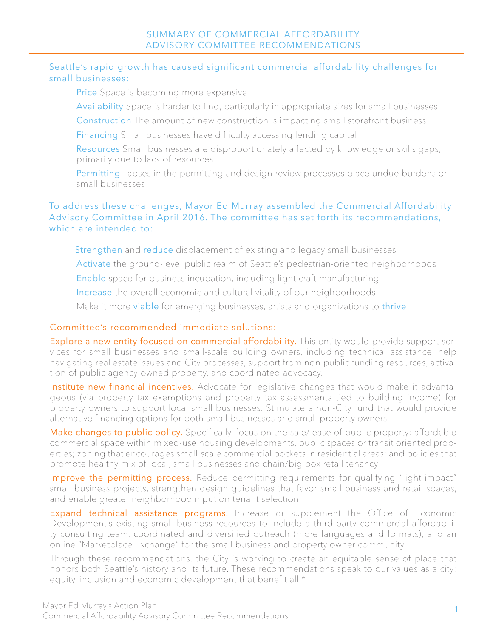## Seattle's rapid growth has caused significant commercial affordability challenges for small businesses:

Price Space is becoming more expensive

Availability Space is harder to find, particularly in appropriate sizes for small businesses

Construction The amount of new construction is impacting small storefront business

Financing Small businesses have difficulty accessing lending capital

Resources Small businesses are disproportionately affected by knowledge or skills gaps, primarily due to lack of resources

Permitting Lapses in the permitting and design review processes place undue burdens on small businesses

## To address these challenges, Mayor Ed Murray assembled the Commercial Affordability Advisory Committee in April 2016. The committee has set forth its recommendations, which are intended to:

Strengthen and reduce displacement of existing and legacy small businesses Activate the ground-level public realm of Seattle's pedestrian-oriented neighborhoods Enable space for business incubation, including light craft manufacturing Increase the overall economic and cultural vitality of our neighborhoods

Make it more viable for emerging businesses, artists and organizations to thrive

## Committee's recommended immediate solutions:

Explore a new entity focused on commercial affordability. This entity would provide support services for small businesses and small-scale building owners, including technical assistance, help navigating real estate issues and City processes, support from non-public funding resources, activation of public agency-owned property, and coordinated advocacy.

Institute new financial incentives. Advocate for legislative changes that would make it advantageous (via property tax exemptions and property tax assessments tied to building income) for property owners to support local small businesses. Stimulate a non-City fund that would provide alternative financing options for both small businesses and small property owners.

Make changes to public policy. Specifically, focus on the sale/lease of public property; affordable commercial space within mixed-use housing developments, public spaces or transit oriented properties; zoning that encourages small-scale commercial pockets in residential areas; and policies that promote healthy mix of local, small businesses and chain/big box retail tenancy.

Improve the permitting process. Reduce permitting requirements for qualifying "light-impact" small business projects, strengthen design guidelines that favor small business and retail spaces, and enable greater neighborhood input on tenant selection.

Expand technical assistance programs. Increase or supplement the Office of Economic Development's existing small business resources to include a third-party commercial affordability consulting team, coordinated and diversified outreach (more languages and formats), and an online "Marketplace Exchange" for the small business and property owner community.

Through these recommendations, the City is working to create an equitable sense of place that honors both Seattle's history and its future. These recommendations speak to our values as a city: equity, inclusion and economic development that benefit all.\*